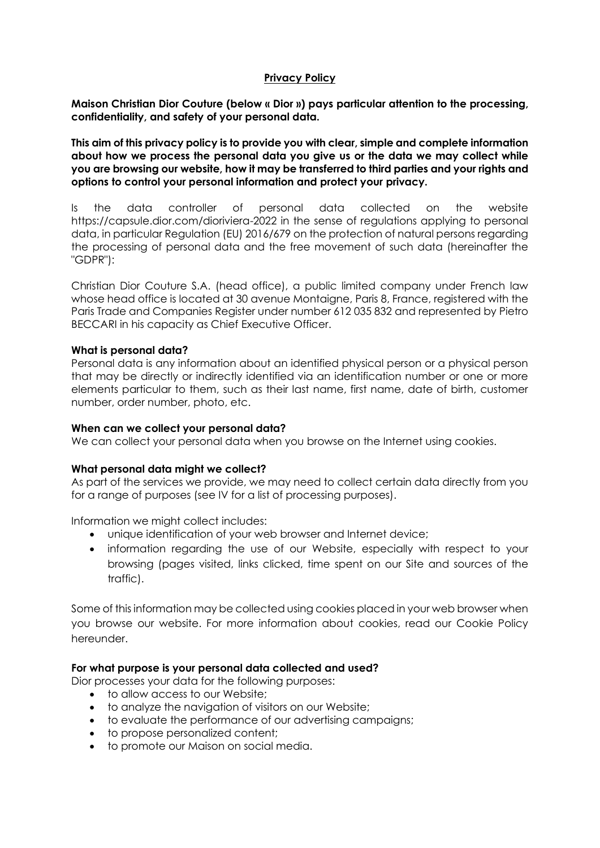### **Privacy Policy**

**Maison Christian Dior Couture (below « Dior ») pays particular attention to the processing, confidentiality, and safety of your personal data.**

**This aim of this privacy policy is to provide you with clear, simple and complete information about how we process the personal data you give us or the data we may collect while you are browsing our website, how it may be transferred to third parties and your rights and options to control your personal information and protect your privacy.**

Is the data controller of personal data collected on the website https://capsule.dior.com/dioriviera-2022 in the sense of regulations applying to personal data, in particular Regulation (EU) 2016/679 on the protection of natural persons regarding the processing of personal data and the free movement of such data (hereinafter the "GDPR"):

Christian Dior Couture S.A. (head office), a public limited company under French law whose head office is located at 30 avenue Montaigne, Paris 8, France, registered with the Paris Trade and Companies Register under number 612 035 832 and represented by Pietro BECCARI in his capacity as Chief Executive Officer.

### **What is personal data?**

Personal data is any information about an identified physical person or a physical person that may be directly or indirectly identified via an identification number or one or more elements particular to them, such as their last name, first name, date of birth, customer number, order number, photo, etc.

#### **When can we collect your personal data?**

We can collect your personal data when you browse on the Internet using cookies.

## **What personal data might we collect?**

As part of the services we provide, we may need to collect certain data directly from you for a range of purposes (see IV for a list of processing purposes).

Information we might collect includes:

- unique identification of your web browser and Internet device;
- information regarding the use of our Website, especially with respect to your browsing (pages visited, links clicked, time spent on our Site and sources of the traffic).

Some of this information may be collected using cookies placed in your web browser when you browse our website. For more information about cookies, read our Cookie Policy hereunder.

#### **For what purpose is your personal data collected and used?**

Dior processes your data for the following purposes:

- to allow access to our Website;
- to analyze the navigation of visitors on our Website;
- to evaluate the performance of our advertising campaigns;
- to propose personalized content;
- to promote our Maison on social media.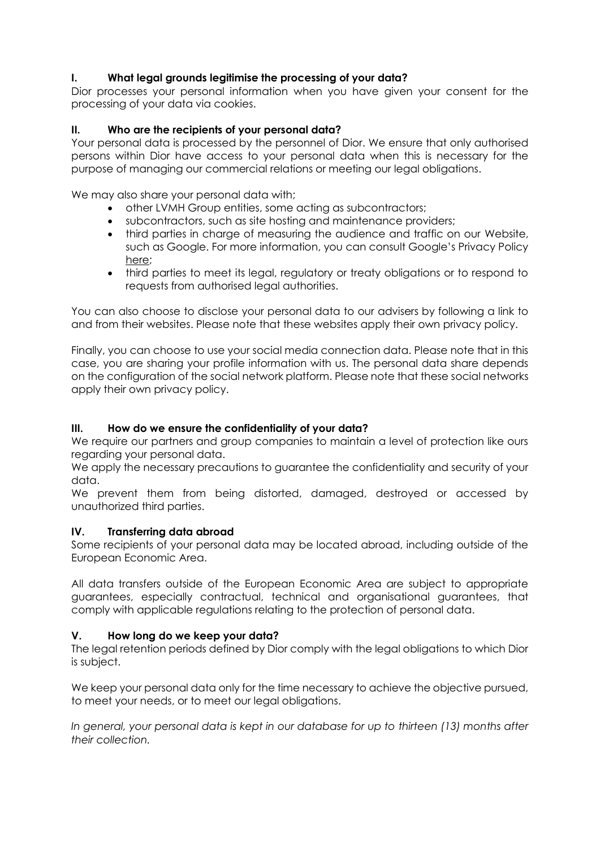# **I. What legal grounds legitimise the processing of your data?**

Dior processes your personal information when you have given your consent for the processing of your data via cookies.

# **II. Who are the recipients of your personal data?**

Your personal data is processed by the personnel of Dior. We ensure that only authorised persons within Dior have access to your personal data when this is necessary for the purpose of managing our commercial relations or meeting our legal obligations.

We may also share your personal data with;

- other LVMH Group entities, some acting as subcontractors;
- subcontractors, such as site hosting and maintenance providers;
- third parties in charge of measuring the audience and traffic on our Website, such as Google. For more information, you can consult Google's Privacy Policy [here;](https://policies.google.com/privacy?hl=en#infocollect)
- third parties to meet its legal, regulatory or treaty obligations or to respond to requests from authorised legal authorities.

You can also choose to disclose your personal data to our advisers by following a link to and from their websites. Please note that these websites apply their own privacy policy.

Finally, you can choose to use your social media connection data. Please note that in this case, you are sharing your profile information with us. The personal data share depends on the configuration of the social network platform. Please note that these social networks apply their own privacy policy.

# **III. How do we ensure the confidentiality of your data?**

We require our partners and group companies to maintain a level of protection like ours regarding your personal data.

We apply the necessary precautions to guarantee the confidentiality and security of your data.

We prevent them from being distorted, damaged, destroyed or accessed by unauthorized third parties.

## **IV. Transferring data abroad**

Some recipients of your personal data may be located abroad, including outside of the European Economic Area.

All data transfers outside of the European Economic Area are subject to appropriate guarantees, especially contractual, technical and organisational guarantees, that comply with applicable regulations relating to the protection of personal data.

## **V. How long do we keep your data?**

The legal retention periods defined by Dior comply with the legal obligations to which Dior is subject.

We keep your personal data only for the time necessary to achieve the objective pursued, to meet your needs, or to meet our legal obligations.

*In general, your personal data is kept in our database for up to thirteen (13) months after their collection.*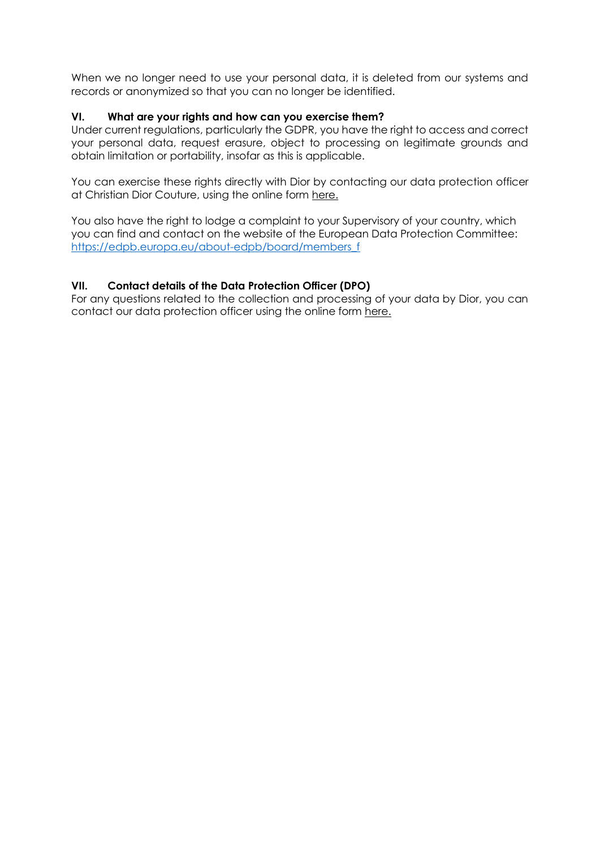When we no longer need to use your personal data, it is deleted from our systems and records or anonymized so that you can no longer be identified.

## **VI. What are your rights and how can you exercise them?**

Under current regulations, particularly the GDPR, you have the right to access and correct your personal data, request erasure, object to processing on legitimate grounds and obtain limitation or portability, insofar as this is applicable.

You can exercise these rights directly with Dior by contacting our data protection officer at Christian Dior Couture, using the online form [here.](https://www.dior.com/fr_fr/contact-couture)

You also have the right to lodge a complaint to your Supervisory of your country, which you can find and contact on the website of the European Data Protection Committee: [https://edpb.europa.eu/about-edpb/board/members\\_f](https://edpb.europa.eu/about-edpb/board/members_f)

## **VII. Contact details of the Data Protection Officer (DPO)**

For any questions related to the collection and processing of your data by Dior, you can contact our data protection officer using the online form [here.](https://www.dior.com/fr_fr/contact-couture)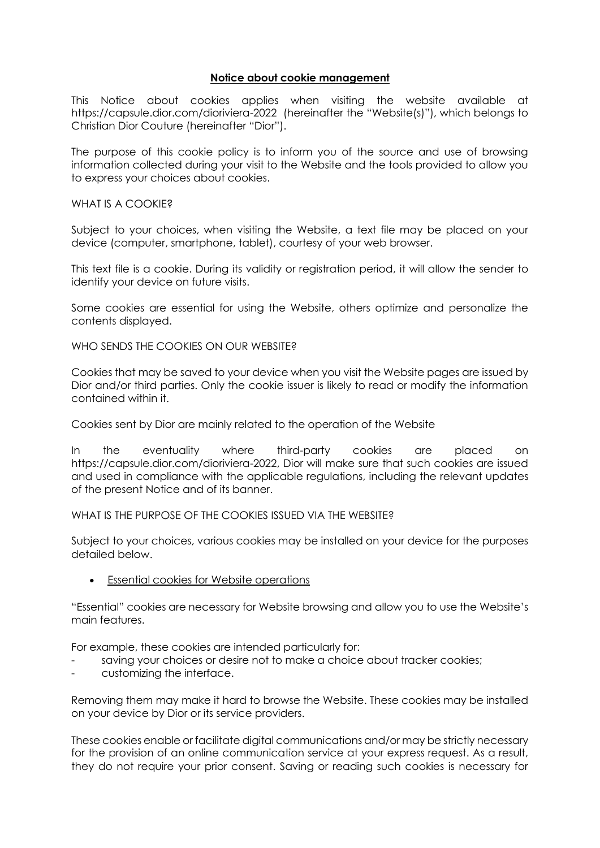### **Notice about cookie management**

This Notice about cookies applies when visiting the website available at <https://capsule.dior.com/dioriviera-2022> (hereinafter the "Website(s)"), which belongs to Christian Dior Couture (hereinafter "Dior").

The purpose of this cookie policy is to inform you of the source and use of browsing information collected during your visit to the Website and the tools provided to allow you to express your choices about cookies.

#### WHAT IS A COOKIE?

Subject to your choices, when visiting the Website, a text file may be placed on your device (computer, smartphone, tablet), courtesy of your web browser.

This text file is a cookie. During its validity or registration period, it will allow the sender to identify your device on future visits.

Some cookies are essential for using the Website, others optimize and personalize the contents displayed.

WHO SENDS THE COOKIES ON OUR WEBSITE?

Cookies that may be saved to your device when you visit the Website pages are issued by Dior and/or third parties. Only the cookie issuer is likely to read or modify the information contained within it.

Cookies sent by Dior are mainly related to the operation of the Website

In the eventuality where third-party cookies are placed on [https://capsule.dior.com/dioriviera-2022,](https://capsule.dior.com/dioriviera-2022) Dior will make sure that such cookies are issued and used in compliance with the applicable regulations, including the relevant updates of the present Notice and of its banner.

#### WHAT IS THE PURPOSE OF THE COOKIES ISSUED VIA THE WEBSITE?

Subject to your choices, various cookies may be installed on your device for the purposes detailed below.

• Essential cookies for Website operations

"Essential" cookies are necessary for Website browsing and allow you to use the Website's main features.

For example, these cookies are intended particularly for:

- saving your choices or desire not to make a choice about tracker cookies;
- customizing the interface.

Removing them may make it hard to browse the Website. These cookies may be installed on your device by Dior or its service providers.

These cookies enable or facilitate digital communications and/or may be strictly necessary for the provision of an online communication service at your express request. As a result, they do not require your prior consent. Saving or reading such cookies is necessary for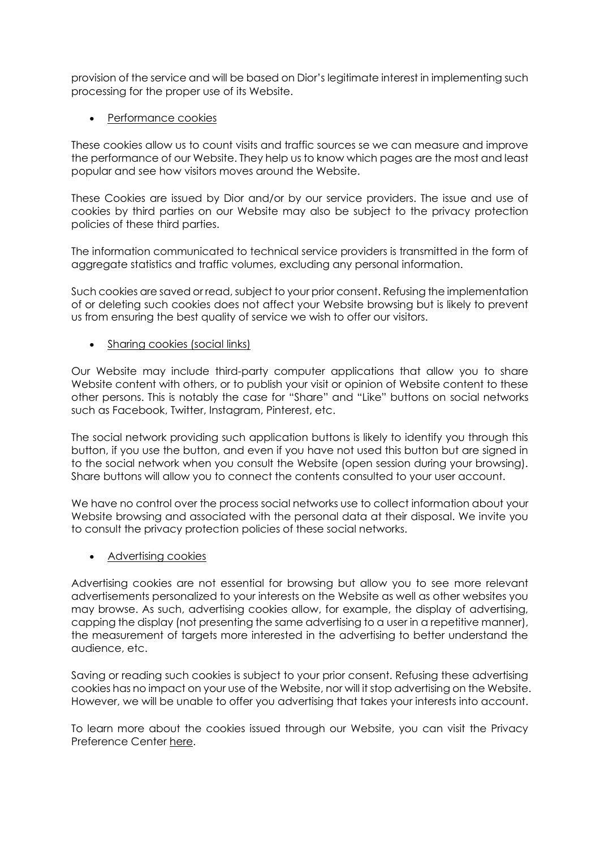provision of the service and will be based on Dior's legitimate interest in implementing such processing for the proper use of its Website.

• Performance cookies

These cookies allow us to count visits and traffic sources se we can measure and improve the performance of our Website. They help us to know which pages are the most and least popular and see how visitors moves around the Website.

These Cookies are issued by Dior and/or by our service providers. The issue and use of cookies by third parties on our Website may also be subject to the privacy protection policies of these third parties.

The information communicated to technical service providers is transmitted in the form of aggregate statistics and traffic volumes, excluding any personal information.

Such cookies are saved or read, subject to your prior consent. Refusing the implementation of or deleting such cookies does not affect your Website browsing but is likely to prevent us from ensuring the best quality of service we wish to offer our visitors.

• Sharing cookies (social links)

Our Website may include third-party computer applications that allow you to share Website content with others, or to publish your visit or opinion of Website content to these other persons. This is notably the case for "Share" and "Like" buttons on social networks such as Facebook, Twitter, Instagram, Pinterest, etc.

The social network providing such application buttons is likely to identify you through this button, if you use the button, and even if you have not used this button but are signed in to the social network when you consult the Website (open session during your browsing). Share buttons will allow you to connect the contents consulted to your user account.

We have no control over the process social networks use to collect information about your Website browsing and associated with the personal data at their disposal. We invite you to consult the privacy protection policies of these social networks.

• Advertising cookies

Advertising cookies are not essential for browsing but allow you to see more relevant advertisements personalized to your interests on the Website as well as other websites you may browse. As such, advertising cookies allow, for example, the display of advertising, capping the display (not presenting the same advertising to a user in a repetitive manner), the measurement of targets more interested in the advertising to better understand the audience, etc.

Saving or reading such cookies is subject to your prior consent. Refusing these advertising cookies has no impact on your use of the Website, nor will it stop advertising on the Website. However, we will be unable to offer you advertising that takes your interests into account.

To learn more about the cookies issued through our Website, you can visit the Privacy Preference Center [here.](https://www.dior.com/en_us/fashion)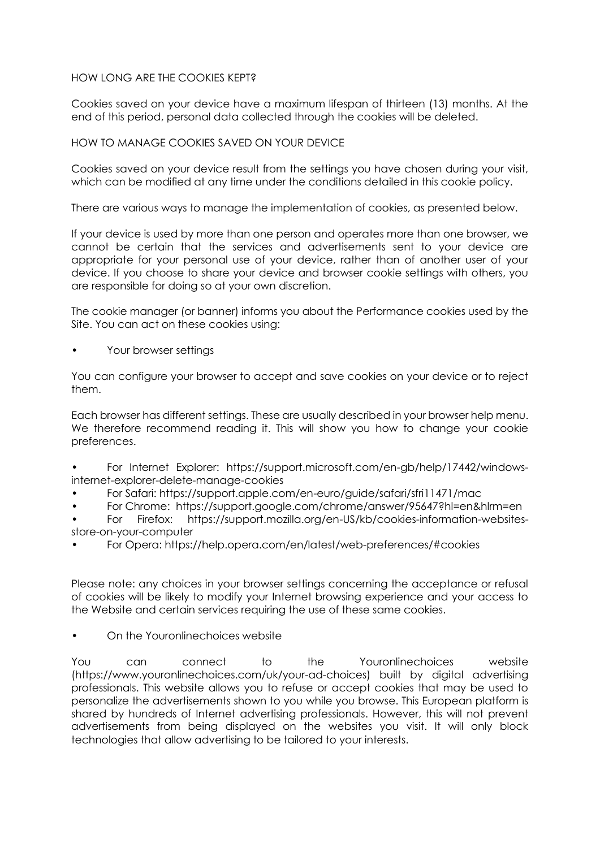## HOW LONG ARE THE COOKIES KEPT?

Cookies saved on your device have a maximum lifespan of thirteen (13) months. At the end of this period, personal data collected through the cookies will be deleted.

## HOW TO MANAGE COOKIES SAVED ON YOUR DEVICE

Cookies saved on your device result from the settings you have chosen during your visit, which can be modified at any time under the conditions detailed in this cookie policy.

There are various ways to manage the implementation of cookies, as presented below.

If your device is used by more than one person and operates more than one browser, we cannot be certain that the services and advertisements sent to your device are appropriate for your personal use of your device, rather than of another user of your device. If you choose to share your device and browser cookie settings with others, you are responsible for doing so at your own discretion.

The cookie manager (or banner) informs you about the Performance cookies used by the Site. You can act on these cookies using:

• Your browser settings

You can configure your browser to accept and save cookies on your device or to reject them.

Each browser has different settings. These are usually described in your browser help menu. We therefore recommend reading it. This will show you how to change your cookie preferences.

• For Internet Explorer: https://support.microsoft.com/en-gb/help/17442/windowsinternet-explorer-delete-manage-cookies

- For Safari: https://support.apple.com/en-euro/guide/safari/sfri11471/mac
- For Chrome: https://support.google.com/chrome/answer/95647?hl=en&hlrm=en

• For Firefox: https://support.mozilla.org/en-US/kb/cookies-information-websitesstore-on-your-computer

• For Opera: https://help.opera.com/en/latest/web-preferences/#cookies

Please note: any choices in your browser settings concerning the acceptance or refusal of cookies will be likely to modify your Internet browsing experience and your access to the Website and certain services requiring the use of these same cookies.

• On the Youronlinechoices website

You can connect to the Youronlinechoices website (https://www.youronlinechoices.com/uk/your-ad-choices) built by digital advertising professionals. This website allows you to refuse or accept cookies that may be used to personalize the advertisements shown to you while you browse. This European platform is shared by hundreds of Internet advertising professionals. However, this will not prevent advertisements from being displayed on the websites you visit. It will only block technologies that allow advertising to be tailored to your interests.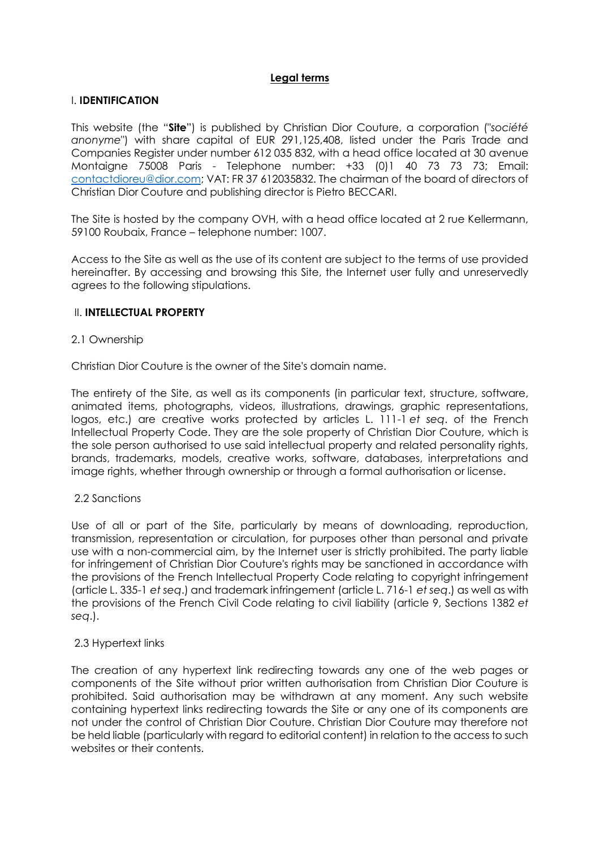## **Legal terms**

### I. **IDENTIFICATION**

This website (the "**Site**") is published by Christian Dior Couture, a corporation ("*société anonyme*") with share capital of EUR 291,125,408, listed under the Paris Trade and Companies Register under number 612 035 832, with a head office located at 30 avenue Montaigne 75008 Paris - Telephone number: +33 (0)1 40 73 73 73; Email: [contactdioreu@dior.com;](mailto:contactdioreu@dior.com) VAT: FR 37 612035832. The chairman of the board of directors of Christian Dior Couture and publishing director is Pietro BECCARI.

The Site is hosted by the company OVH, with a head office located at 2 rue Kellermann, 59100 Roubaix, France – telephone number: 1007.

Access to the Site as well as the use of its content are subject to the terms of use provided hereinafter. By accessing and browsing this Site, the Internet user fully and unreservedly agrees to the following stipulations.

### II. **INTELLECTUAL PROPERTY**

### 2.1 Ownership

Christian Dior Couture is the owner of the Site's domain name.

The entirety of the Site, as well as its components (in particular text, structure, software, animated items, photographs, videos, illustrations, drawings, graphic representations, logos, etc.) are creative works protected by articles L. 111-1 *et seq*. of the French Intellectual Property Code. They are the sole property of Christian Dior Couture, which is the sole person authorised to use said intellectual property and related personality rights, brands, trademarks, models, creative works, software, databases, interpretations and image rights, whether through ownership or through a formal authorisation or license.

#### 2.2 Sanctions

Use of all or part of the Site, particularly by means of downloading, reproduction, transmission, representation or circulation, for purposes other than personal and private use with a non-commercial aim, by the Internet user is strictly prohibited. The party liable for infringement of Christian Dior Couture's rights may be sanctioned in accordance with the provisions of the French Intellectual Property Code relating to copyright infringement (article L. 335-1 *et seq*.) and trademark infringement (article L. 716-1 *et seq*.) as well as with the provisions of the French Civil Code relating to civil liability (article 9, Sections 1382 *et seq*.).

#### 2.3 Hypertext links

The creation of any hypertext link redirecting towards any one of the web pages or components of the Site without prior written authorisation from Christian Dior Couture is prohibited. Said authorisation may be withdrawn at any moment. Any such website containing hypertext links redirecting towards the Site or any one of its components are not under the control of Christian Dior Couture. Christian Dior Couture may therefore not be held liable (particularly with regard to editorial content) in relation to the access to such websites or their contents.